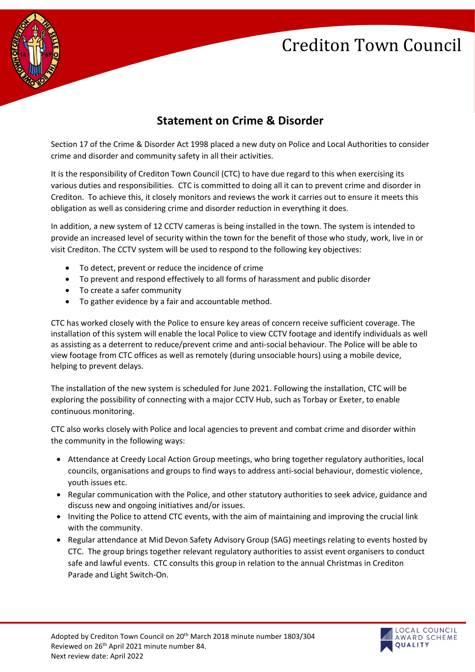## Crediton Town Council



## **Statement on Crime & Disorder**

Section 17 of the Crime & Disorder Act 1998 placed a new duty on Police and Local Authorities to consider crime and disorder and community safety in all their activities.

It is the responsibility of Crediton Town Council (CTC) to have due regard to this when exercising its various duties and responsibilities. CTC is committed to doing all it can to prevent crime and disorder in Crediton. To achieve this, it closely monitors and reviews the work it carries out to ensure it meets this obligation as well as considering crime and disorder reduction in everything it does.

In addition, a new system of 12 CCTV cameras is being installed in the town. The system is intended to provide an increased level of security within the town for the benefit of those who study, work, live in or visit Crediton. The CCTV system will be used to respond to the following key objectives:

- To detect, prevent or reduce the incidence of crime
- To prevent and respond effectively to all forms of harassment and public disorder
- To create a safer community
- To gather evidence by a fair and accountable method.

CTC has worked closely with the Police to ensure key areas of concern receive sufficient coverage. The installation of this system will enable the local Police to view CCTV footage and identify individuals as well as assisting as a deterrent to reduce/prevent crime and anti-social behaviour. The Police will be able to view footage from CTC offices as well as remotely (during unsociable hours) using a mobile device, helping to prevent delays.

The installation of the new system is scheduled for June 2021. Following the installation, CTC will be exploring the possibility of connecting with a major CCTV Hub, such as Torbay or Exeter, to enable continuous monitoring.

CTC also works closely with Police and local agencies to prevent and combat crime and disorder within the community in the following ways:

- Attendance at Creedy Local Action Group meetings, who bring together regulatory authorities, local councils, organisations and groups to find ways to address anti-social behaviour, domestic violence, youth issues etc.
- Regular communication with the Police, and other statutory authorities to seek advice, guidance and discuss new and ongoing initiatives and/or issues.
- Inviting the Police to attend CTC events, with the aim of maintaining and improving the crucial link with the community.
- Regular attendance at Mid Devon Safety Advisory Group (SAG) meetings relating to events hosted by CTC. The group brings together relevant regulatory authorities to assist event organisers to conduct safe and lawful events. CTC consults this group in relation to the annual Christmas in Crediton Parade and Light Switch-On.